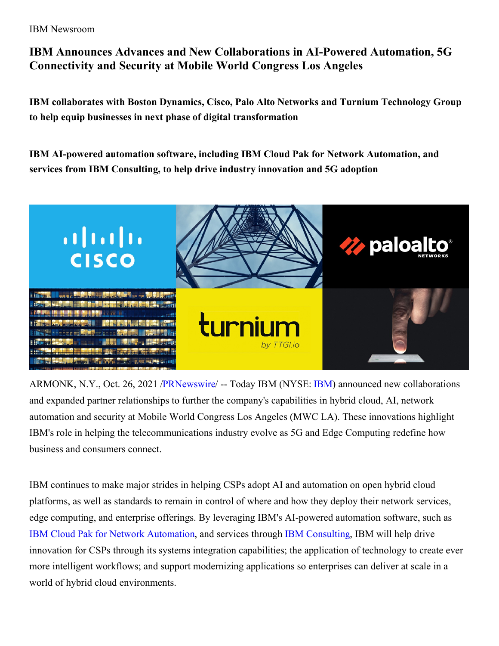IBM Newsroom

## **IBM Announces Advances and New Collaborations in AI-Powered Automation, 5G Connectivity and Security at Mobile World Congress Los Angeles**

**IBM collaborates with Boston Dynamics, Cisco, Palo Alto Networks and Turnium Technology Group to help equip businesses in next phase of digital transformation**

**IBM AI-powered automation software, including IBM Cloud Pak for Network Automation, and services from IBM Consulting, to help drive industry innovation and 5G adoption**



ARMONK, N.Y., Oct. 26, 2021 [/PRNewswire](http://www.prnewswire.com/)/ -- Today IBM (NYSE: [IBM\)](https://c212.net/c/link/?t=0&l=en&o=3336440-1&h=3292020211&u=http%3A%2F%2Fwww.ibm.com%2Finvestor&a=IBM) announced new collaborations and expanded partner relationships to further the company's capabilities in hybrid cloud, AI, network automation and security at Mobile World Congress Los Angeles (MWC LA). These innovations highlight IBM's role in helping the telecommunications industry evolve as 5G and Edge Computing redefine how business and consumers connect.

IBM continues to make major strides in helping CSPs adopt AI and automation on open hybrid cloud platforms, as well as standards to remain in control of where and how they deploy their network services, edge computing, and enterprise offerings. By leveraging IBM's AI-powered automation software, such as IBM Cloud Pak for Network [Automation,](https://c212.net/c/link/?t=0&l=en&o=3336440-1&h=416994974&u=https%3A%2F%2Fwww.ibm.com%2Fcloud%2Fcloud-pak-for-network-automation&a=IBM+Cloud+Pak+for+Network+Automation) and services through IBM [Consulting](https://c212.net/c/link/?t=0&l=en&o=3336440-1&h=3288018119&u=https%3A%2F%2Fwww.ibm.com%2Fconsulting%2F&a=IBM+Consulting), IBM will help drive innovation for CSPs through its systems integration capabilities; the application of technology to create ever more intelligent workflows; and support modernizing applications so enterprises can deliver at scale in a world of hybrid cloud environments.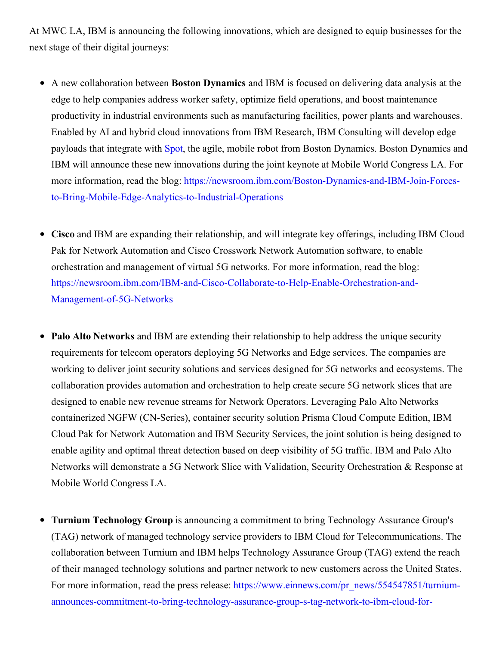At MWC LA, IBM is announcing the following innovations, which are designed to equip businesses for the next stage of their digital journeys:

- A new collaboration between **Boston Dynamics** and IBM is focused on delivering data analysis at the edge to help companies address worker safety, optimize field operations, and boost maintenance productivity in industrial environments such as manufacturing facilities, power plants and warehouses. Enabled by AI and hybrid cloud innovations from IBM Research, IBM Consulting will develop edge payloads that integrate with [Spot](https://c212.net/c/link/?t=0&l=en&o=3336440-1&h=2211748027&u=https%3A%2F%2Fwww.bostondynamics.com%2Fspot&a=Spot), the agile, mobile robot from Boston Dynamics. Boston Dynamics and IBM will announce these new innovations during the joint keynote at Mobile World Congress LA. For more information, read the blog: [https://newsroom.ibm.com/Boston-Dynamics-and-IBM-Join-Forces](https://c212.net/c/link/?t=0&l=en&o=3336440-1&h=4273640451&u=https%3A%2F%2Fnewsroom.ibm.com%2FBoston-Dynamics-and-IBM-Join-Forces-to-Bring-Mobile-Edge-Analytics-to-Industrial-Operations&a=https%3A%2F%2Fnewsroom.ibm.com%2FBoston-Dynamics-and-IBM-Join-Forces-to-Bring-Mobile-Edge-Analytics-to-Industrial-Operations)to-Bring-Mobile-Edge-Analytics-to-Industrial-Operations
- **Cisco** and IBM are expanding their relationship, and will integrate key offerings, including IBM Cloud  $\bullet$ Pak for Network Automation and Cisco Crosswork Network Automation software, to enable orchestration and management of virtual 5G networks. For more information, read the blog: [https://newsroom.ibm.com/IBM-and-Cisco-Collaborate-to-Help-Enable-Orchestration-and-](https://c212.net/c/link/?t=0&l=en&o=3336440-1&h=894950334&u=https%3A%2F%2Fnewsroom.ibm.com%2FIBM-and-Cisco-Collaborate-to-Help-Enable-Orchestration-and-Management-of-5G-Networks&a=https%3A%2F%2Fnewsroom.ibm.com%2FIBM-and-Cisco-Collaborate-to-Help-Enable-Orchestration-and-Management-of-5G-Networks)Management-of-5G-Networks
- **Palo Alto Networks** and IBM are extending their relationship to help address the unique security requirements for telecom operators deploying 5G Networks and Edge services. The companies are working to deliver joint security solutions and services designed for 5G networks and ecosystems. The collaboration provides automation and orchestration to help create secure 5G network slices that are designed to enable new revenue streams for Network Operators. Leveraging Palo Alto Networks containerized NGFW (CN-Series), container security solution Prisma Cloud Compute Edition, IBM Cloud Pak for Network Automation and IBM Security Services, the joint solution is being designed to enable agility and optimal threat detection based on deep visibility of 5G traffic. IBM and Palo Alto Networks will demonstrate a 5G Network Slice with Validation, Security Orchestration & Response at Mobile World Congress LA.
- **Turnium Technology Group** is announcing a commitment to bring Technology Assurance Group's  $\bullet$ (TAG) network of managed technology service providers to IBM Cloud for Telecommunications. The collaboration between Turnium and IBM helps Technology Assurance Group (TAG) extend the reach of their managed technology solutions and partner network to new customers across the United States. For more information, read the press release: https://www.einnews.com/pr\_news/554547851/turnium[announces-commitment-to-bring-technology-assurance-group-s-tag-network-to-ibm-cloud-for-](https://c212.net/c/link/?t=0&l=en&o=3336440-1&h=2688286841&u=https%3A%2F%2Fwww.einnews.com%2Fpr_news%2F554547851%2Fturnium-announces-commitment-to-bring-technology-assurance-group-s-tag-network-to-ibm-cloud-for-telecommunications&a=https%3A%2F%2Fwww.einnews.com%2Fpr_news%2F554547851%2Fturnium-announces-commitment-to-bring-technology-assurance-group-s-tag-network-to-ibm-cloud-for-telecommunications)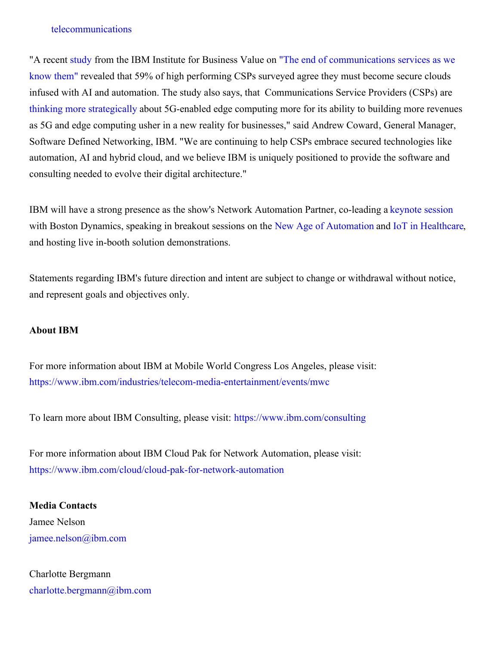## telecommunications

"A recent [study](https://c212.net/c/link/?t=0&l=en&o=3336440-1&h=941921772&u=https%3A%2F%2Fwww.ibm.com%2Fthought-leadership%2Finstitute-business-value%2Freport%2Fedge-computing&a=study) from the IBM Institute for Business Value on "The end of [communications](https://c212.net/c/link/?t=0&l=en&o=3336440-1&h=1920040405&u=https%3A%2F%2Fwww.ibm.com%2Fthought-leadership%2Finstitute-business-value%2Freport%2Fcsp-5g-edge-computing&a=%22The+end+of+communications+services+as+we+know+them%22) services as we know them" revealed that 59% of high performing CSPs surveyed agree they must become secure clouds infused with AI and automation. The study also says, that Communications Service Providers (CSPs) are thinking more [strategically](https://c212.net/c/link/?t=0&l=en&o=3336440-1&h=119146496&u=https%3A%2F%2Fwww.ibm.com%2Fthought-leadership%2Finstitute-business-value%2Freport%2Fcsp-5g-edge-computing&a=thinking+more+strategically) about 5G-enabled edge computing more for its ability to building more revenues as 5G and edge computing usher in a new reality for businesses," said Andrew Coward, General Manager, Software Defined Networking, IBM. "We are continuing to help CSPs embrace secured technologies like automation, AI and hybrid cloud, and we believe IBM is uniquely positioned to provide the software and consulting needed to evolve their digital architecture."

IBM will have a strong presence as the show's Network Automation Partner, co-leading a [keynote](https://c212.net/c/link/?t=0&l=en&o=3336440-1&h=2245458398&u=https%3A%2F%2Fwww.ibm.com%2Findustries%2Ftelecom-media-entertainment%2Fevents%2Fmwc&a=keynote+session) session with Boston Dynamics, speaking in breakout sessions on the New Age of [Automation](https://c212.net/c/link/?t=0&l=en&o=3336440-1&h=949177374&u=https%3A%2F%2Fwww.mwclosangeles.com%2Fagenda%2Fsession%2Fnew-age-of-automation&a=New+Age+of+Automation) and IoT in [Healthcare](https://c212.net/c/link/?t=0&l=en&o=3336440-1&h=3396475760&u=https%3A%2F%2Fwww.mwclosangeles.com%2Fagenda%2Fsession%2Fiot-in-healthcare&a=IoT+in+Healthcare), and hosting live in-booth solution demonstrations.

Statements regarding IBM's future direction and intent are subject to change or withdrawal without notice, and represent goals and objectives only.

## **About IBM**

For more information about IBM at Mobile World Congress Los Angeles, please visit: [https://www.ibm.com/industries/telecom-media-entertainment/events/mwc](https://c212.net/c/link/?t=0&l=en&o=3336440-1&h=2435722638&u=https%3A%2F%2Fwww.ibm.com%2Findustries%2Ftelecom-media-entertainment%2Fevents%2Fmwc&a=https%3A%2F%2Fwww.ibm.com%2Findustries%2Ftelecom-media-entertainment%2Fevents%2Fmwc)

To learn more about IBM Consulting, please visit: [https://www.ibm.com/consulting](https://c212.net/c/link/?t=0&l=en&o=3336440-1&h=2040341817&u=https%3A%2F%2Fwww.ibm.com%2Fconsulting%2F%3Flnk%3Dushpv18l1&a=https%3A%2F%2Fwww.ibm.com%2Fconsulting)

For more information about IBM Cloud Pak for Network Automation, please visit: [https://www.ibm.com/cloud/cloud-pak-for-network-automation](https://c212.net/c/link/?t=0&l=en&o=3336440-1&h=2954048743&u=https%3A%2F%2Fwww.ibm.com%2Fcloud%2Fcloud-pak-for-network-automation&a=https%3A%2F%2Fwww.ibm.com%2Fcloud%2Fcloud-pak-for-network-automation)

**Media Contacts** Jamee Nelson [jamee.nelson@ibm.com](mailto:jamee.nelson@ibm.com)

Charlotte Bergmann [charlotte.bergmann@ibm.com](mailto:charlotte.bergmann@ibm.com)